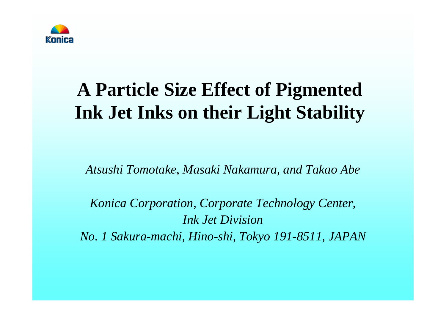

# **A Particle Size Effect of Pigmented Ink Jet Inks on their Light Stability**

*Atsushi Tomotake, Masaki Nakamura, and Takao Abe*

*Konica Corporation, Corporate Technology Center, Ink Jet DivisionNo. 1 Sakura-machi, Hino-shi, Tokyo 191-8511, JAPAN*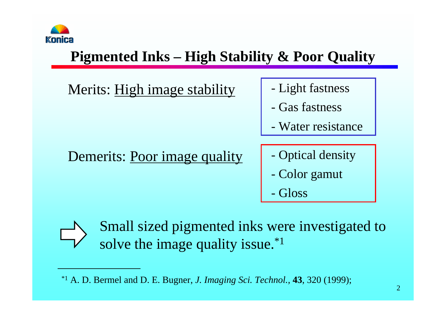

#### **Pigmented Inks – High Stability & Poor Quality**

Merits: High image stability | - Light fastness

#### Demerits: Poor image quality | - Optical density

- 
- Gas fastness
- -Water resistance
- 
- -Color gamut
- -Gloss



Small sized pigmented inks were investigated to solve the image quality issue.<sup>\*1</sup>

<sup>\*1</sup> A. D. Bermel and D. E. Bugner, *J. Imaging Sci. Technol.,* **43**, 320 (1999);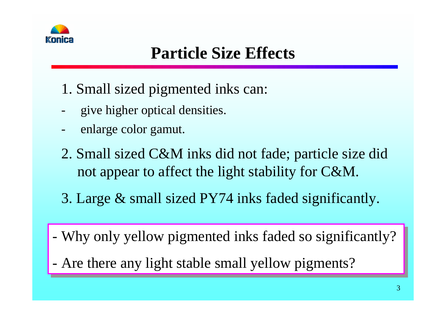

### **Particle Size Effects**

- 1. Small sized pigmented inks can:
- give higher optical densities.
- enlarge color gamut.
- 2. Small sized C&M inks did not fade; particle size did not appear to affect the light stability for C&M.
- 3. Large & small sized PY74 inks faded significantly.
- Why only yellow pigmented inks faded so significantly? Why only yellow pigmented inks faded so significantly?
- Are there any light stable small yellow pigments? Are there any light stable small yellow pigments?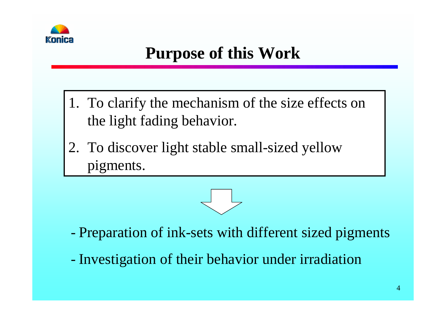

### **Purpose of this Work**

- 1. To clarify the mechanism of the size effects on the light fading behavior.
- 2. To discover light stable small-sized yellow pigments.



- Preparation of ink-sets with different sized pigments
- Investigation of their behavior under irradiation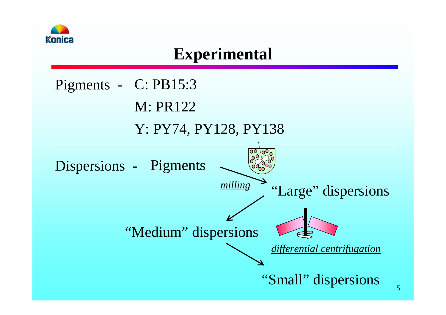

### **Experimental**

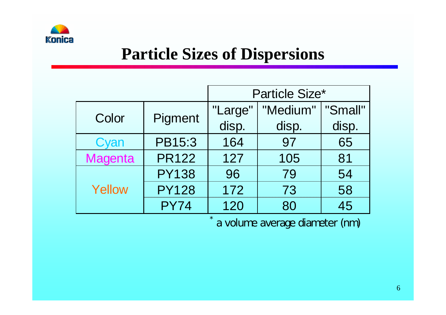

### **Particle Sizes of Dispersions**

|                |               | <b>Particle Size*</b> |          |         |
|----------------|---------------|-----------------------|----------|---------|
| Color          | Pigment       | "Large"               | "Medium" | "Small" |
|                |               | disp.                 | disp.    | disp.   |
| Cyan           | <b>PB15:3</b> | 164                   | 97       | 65      |
| <b>Magenta</b> | <b>PR122</b>  | 127                   | 105      | 81      |
| Yellow         | <b>PY138</b>  | 96                    | 79       | 54      |
|                | <b>PY128</b>  | 172                   | 73       | 58      |
|                | <b>PY74</b>   | 120                   | 45<br>80 |         |

\*

a volume average diameter (nm)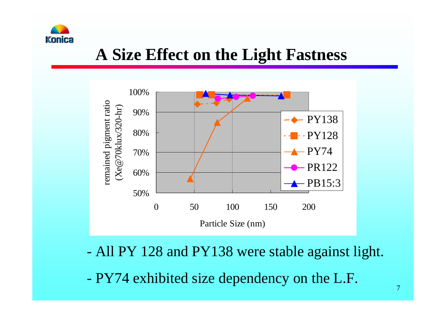

### **A Size Effect on the Light Fastness**



- All PY 128 and PY138 were stable against light.

- PY74 exhibited size dependency on the L.F.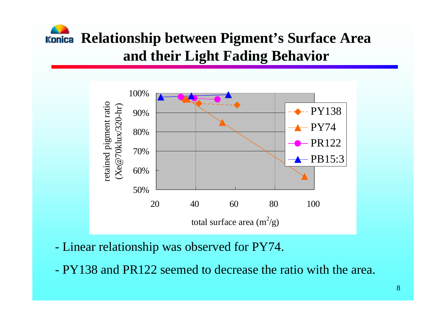# **Relationship between Pigment's Surface Area and their Light Fading Behavior**



- Linear relationship was observed for PY74.

-PY138 and PR122 seemed to decrease the ratio with the area.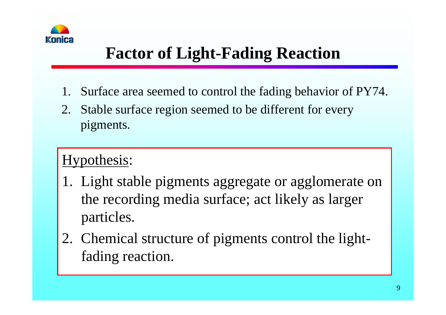

# **Factor of Light-Fading Reaction**

- 1.Surface area seemed to control the fading behavior of PY74.
- 2. Stable surface region seemed to be different for every pigments.

#### Hypothesis:

- 1. Light stable pigments aggregate or agglomerate on the recording media surface; act likely as larger particles.
- 2. Chemical structure of pigments control the lightfading reaction.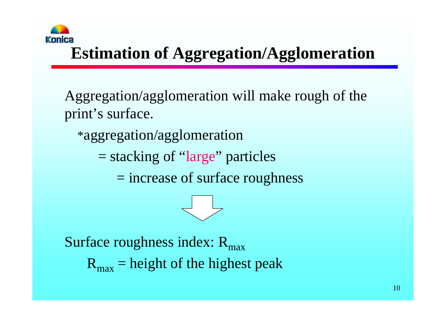

# **Estimation of Aggregation/Agglomeration**

Aggregation/agglomeration will make rough of the print's surface.

\*aggregation/agglomeration

= stacking of "large" particles

= increase of surface roughness



Surface roughness index:  $R_{\text{max}}$ 

 $R_{\text{max}}$  = height of the highest peak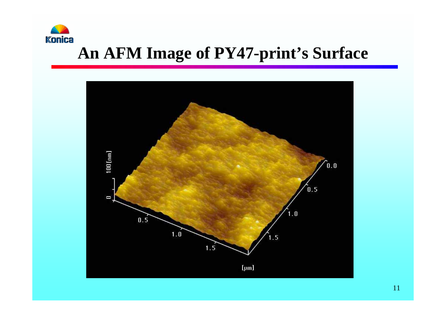

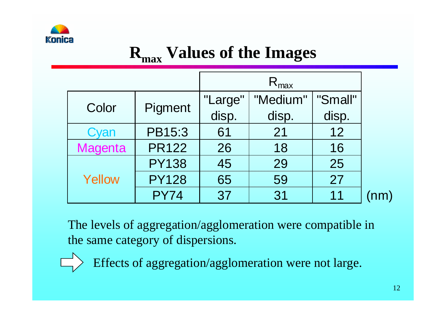

# **Rmax Values of the Images**

|                |              | $R_{\text{max}}$ |          |         |  |
|----------------|--------------|------------------|----------|---------|--|
| Color          | Pigment      | "Large"          | "Medium" | "Small" |  |
|                |              | disp.            | disp.    | disp.   |  |
| Cyan           | PB15:3       | 61               | 21       | 12      |  |
| <b>Magenta</b> | <b>PR122</b> | 26               | 18       | 16      |  |
| Yellow         | <b>PY138</b> | 45               | 29       | 25      |  |
|                | <b>PY128</b> | 65               | 59       | 27      |  |
|                | <b>PY74</b>  | 37               | 31       | 11      |  |

The levels of aggregation/agglomeration were compatible in the same category of dispersions.

Effects of aggregation/agglomeration were not large.